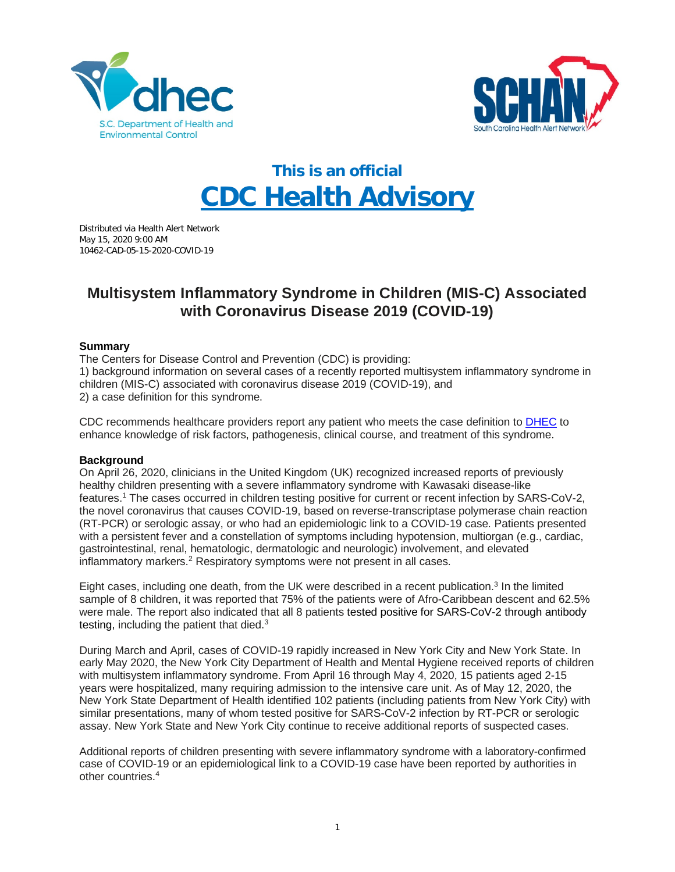



# **This is an official CDC Health Advisory**

Distributed via Health Alert Network May 15, 2020 9:00 AM 10462-CAD-05-15-2020-COVID-19

## **Multisystem Inflammatory Syndrome in Children (MIS-C) Associated with Coronavirus Disease 2019 (COVID-19)**

#### **Summary**

The Centers for Disease Control and Prevention (CDC) is providing:

1) background information on several cases of a recently reported multisystem inflammatory syndrome in children (MIS-C) associated with coronavirus disease 2019 (COVID-19), and 2) a case definition for this syndrome.

CDC recommends healthcare providers report any patient who meets the case definition to [DHEC](https://scdhec.gov/sites/default/files/Library/CR-009025.pdf) to enhance knowledge of risk factors, pathogenesis, clinical course, and treatment of this syndrome.

### **Background**

On April 26, 2020, clinicians in the United Kingdom (UK) recognized increased reports of previously healthy children presenting with a severe inflammatory syndrome with Kawasaki disease-like features.1 The cases occurred in children testing positive for current or recent infection by SARS-CoV-2, the novel coronavirus that causes COVID-19, based on reverse-transcriptase polymerase chain reaction (RT-PCR) or serologic assay, or who had an epidemiologic link to a COVID-19 case. Patients presented with a persistent fever and a constellation of symptoms including hypotension, multiorgan (e.g., cardiac, gastrointestinal, renal, hematologic, dermatologic and neurologic) involvement, and elevated inflammatory markers.<sup>2</sup> Respiratory symptoms were not present in all cases.

Eight cases, including one death, from the UK were described in a recent publication.<sup>3</sup> In the limited sample of 8 children, it was reported that 75% of the patients were of Afro-Caribbean descent and 62.5% were male. The report also indicated that all 8 patients tested positive for SARS-CoV-2 through antibody testing, including the patient that died. $3$ 

During March and April, cases of COVID-19 rapidly increased in New York City and New York State. In early May 2020, the New York City Department of Health and Mental Hygiene received reports of children with multisystem inflammatory syndrome. From April 16 through May 4, 2020, 15 patients aged 2-15 years were hospitalized, many requiring admission to the intensive care unit. As of May 12, 2020, the New York State Department of Health identified 102 patients (including patients from New York City) with similar presentations, many of whom tested positive for SARS-CoV-2 infection by RT-PCR or serologic assay. New York State and New York City continue to receive additional reports of suspected cases.

Additional reports of children presenting with severe inflammatory syndrome with a laboratory-confirmed case of COVID-19 or an epidemiological link to a COVID-19 case have been reported by authorities in other countries.4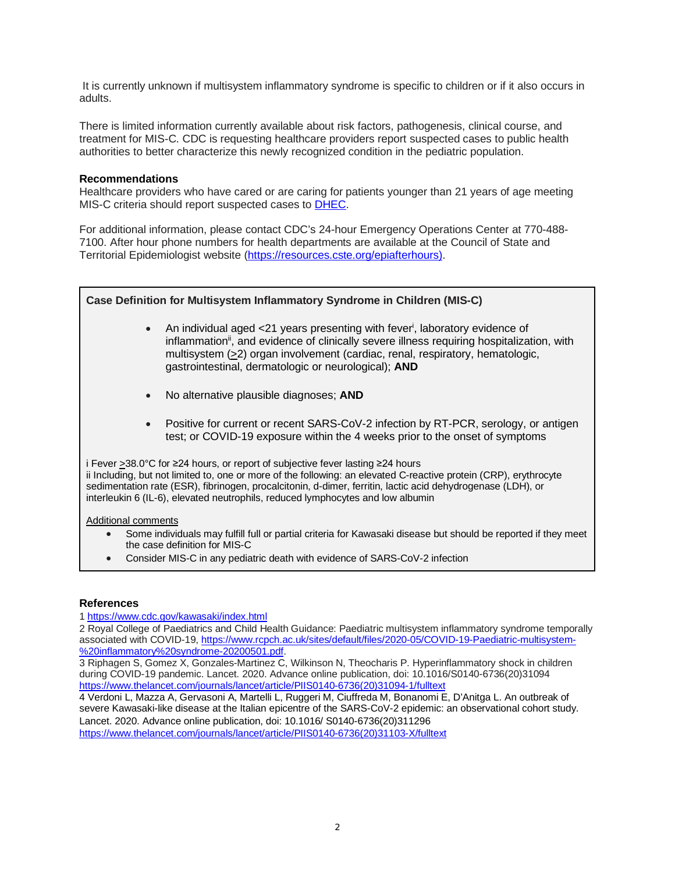It is currently unknown if multisystem inflammatory syndrome is specific to children or if it also occurs in adults.

There is limited information currently available about risk factors, pathogenesis, clinical course, and treatment for MIS-C. CDC is requesting healthcare providers report suspected cases to public health authorities to better characterize this newly recognized condition in the pediatric population.

#### **Recommendations**

Healthcare providers who have cared or are caring for patients younger than 21 years of age meeting MIS-C criteria should report suspected cases to [DHEC.](https://scdhec.gov/sites/default/files/Library/CR-009025.pdf)

For additional information, please contact CDC's 24-hour Emergency Operations Center at 770-488- 7100. After hour phone numbers for health departments are available at the Council of State and Territorial Epidemiologist website [\(https://resources.cste.org/epiafterhours\).](https://resources.cste.org/epiafterhours)



#### **References**

1 <https://www.cdc.gov/kawasaki/index.html>

2 Royal College of Paediatrics and Child Health Guidance: Paediatric multisystem inflammatory syndrome temporally associated with COVID-19, [https://www.rcpch.ac.uk/sites/default/files/2020-05/COVID-19-Paediatric-multisystem-](https://www.rcpch.ac.uk/sites/default/files/2020-05/COVID-19-Paediatric-multisystem-%20inflammatory%20syndrome-20200501.pdf) [%20inflammatory%20syndrome-20200501.pdf.](https://www.rcpch.ac.uk/sites/default/files/2020-05/COVID-19-Paediatric-multisystem-%20inflammatory%20syndrome-20200501.pdf)

3 Riphagen S, Gomez X, Gonzales-Martinez C, Wilkinson N, Theocharis P. Hyperinflammatory shock in children during COVID-19 pandemic. Lancet. 2020. Advance online publication, doi: 10.1016/S0140-6736(20)31094 [https://www.thelancet.com/journals/lancet/article/PIIS0140-6736\(20\)31094-1/fulltext](https://www.thelancet.com/journals/lancet/article/PIIS0140-6736(20)31094-1/fulltext)

4 Verdoni L, Mazza A, Gervasoni A, Martelli L, Ruggeri M, Ciuffreda M, Bonanomi E, D'Anitga L. An outbreak of severe Kawasaki-like disease at the Italian epicentre of the SARS-CoV-2 epidemic: an observational cohort study. Lancet. 2020. Advance online publication, doi: 10.1016/ S0140-6736(20)311296 [https://www.thelancet.com/journals/lancet/article/PIIS0140-6736\(20\)31103-X/fulltext](https://www.thelancet.com/journals/lancet/article/PIIS0140-6736(20)31103-X/fulltext)